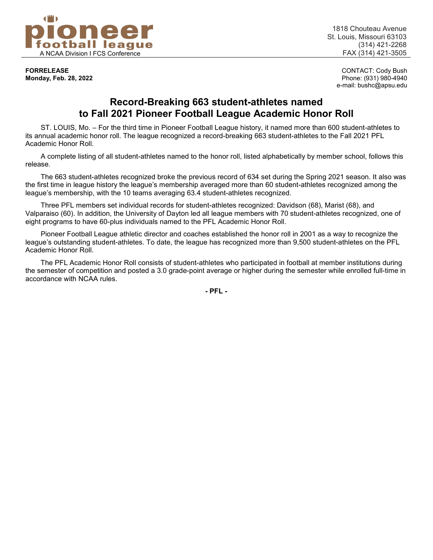

**Monday, Feb. 28, 2022** 

1818 Chouteau Avenue St. Louis, Missouri 63103 (314) 421-2268

**FORRELEASE** CONTACT: Cody Bush e-mail: bushc@apsu.edu

# **Record-Breaking 663 student-athletes named to Fall 2021 Pioneer Football League Academic Honor Roll**

ST. LOUIS, Mo. – For the third time in Pioneer Football League history, it named more than 600 student-athletes to its annual academic honor roll. The league recognized a record-breaking 663 student-athletes to the Fall 2021 PFL Academic Honor Roll.

A complete listing of all student-athletes named to the honor roll, listed alphabetically by member school, follows this release.

The 663 student-athletes recognized broke the previous record of 634 set during the Spring 2021 season. It also was the first time in league history the league's membership averaged more than 60 student-athletes recognized among the league's membership, with the 10 teams averaging 63.4 student-athletes recognized.

Three PFL members set individual records for student-athletes recognized: Davidson (68), Marist (68), and Valparaiso (60). In addition, the University of Dayton led all league members with 70 student-athletes recognized, one of eight programs to have 60-plus individuals named to the PFL Academic Honor Roll.

Pioneer Football League athletic director and coaches established the honor roll in 2001 as a way to recognize the league's outstanding student-athletes. To date, the league has recognized more than 9,500 student-athletes on the PFL Academic Honor Roll.

The PFL Academic Honor Roll consists of student-athletes who participated in football at member institutions during the semester of competition and posted a 3.0 grade-point average or higher during the semester while enrolled full-time in accordance with NCAA rules.

**- PFL -**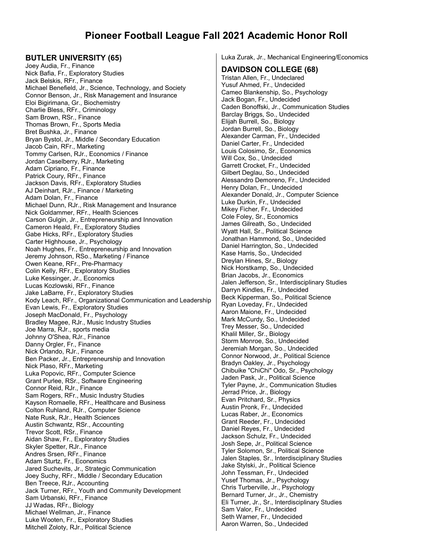# **Pioneer Football League Fall 2021 Academic Honor Roll**

#### **BUTLER UNIVERSITY (65)**

Joey Audia, Fr., Finance Nick Bafia, Fr., Exploratory Studies Jack Belskis, RFr., Finance Michael Benefield, Jr., Science, Technology, and Society Connor Benson, Jr., Risk Management and Insurance Eloi Bigirimana, Gr., Biochemistry Charlie Bless, RFr., Criminology Sam Brown, RSr., Finance Thomas Brown, Fr., Sports Media Bret Bushka, Jr., Finance Bryan Bystol, Jr., Middle / Secondary Education Jacob Cain, RFr., Marketing Tommy Carlsen, RJr., Economics / Finance Jordan Caselberry, RJr., Marketing Adam Cipriano, Fr., Finance Patrick Coury, RFr., Finance Jackson Davis, RFr., Exploratory Studies AJ Deinhart, RJr., Finance / Marketing Adam Dolan, Fr., Finance Michael Dunn, RJr., Risk Management and Insurance Nick Goldammer, RFr., Health Sciences Carson Gulgin, Jr., Entrepreneurship and Innovation Cameron Heald, Fr., Exploratory Studies Gabe Hicks, RFr., Exploratory Studies Carter Highhouse, Jr., Psychology Noah Hughes, Fr., Entrepreneurship and Innovation Jeremy Johnson, RSo., Marketing / Finance Owen Keane, RFr., Pre-Pharmacy Colin Kelly, RFr., Exploratory Studies Luke Kessinger, Jr., Economics Lucas Kozlowski, RFr., Finance Jake LaBarre, Fr., Exploratory Studies Kody Leach, RFr., Organizational Communication and Leadership Evan Lewis, Fr., Exploratory Studies Joseph MacDonald, Fr., Psychology Bradley Magee, RJr., Music Industry Studies Joe Marra, RJr., sports media Johnny O'Shea, RJr., Finance Danny Orgler, Fr., Finance Nick Orlando, RJr., Finance Ben Packer, Jr., Entrepreneurship and Innovation Nick Plaso, RFr., Marketing Luka Popovic, RFr., Computer Science Grant Purlee, RSr., Software Engineering Connor Reid, RJr., Finance Sam Rogers, RFr., Music Industry Studies Kayson Romaelle, RFr., Healthcare and Business Colton Ruhland, RJr., Computer Science Nate Rusk, RJr., Health Sciences Austin Schwantz, RSr., Accounting Trevor Scott, RSr., Finance Aidan Shaw, Fr., Exploratory Studies Skyler Spetter, RJr., Finance Andres Srsen, RFr., Finance Adam Sturtz, Fr., Economics Jared Suchevits, Jr., Strategic Communication Joey Suchy, RFr., Middle / Secondary Education Ben Treece, RJr., Accounting Jack Turner, RFr., Youth and Community Development Sam Urbanski, RFr., Finance JJ Wadas, RFr., Biology Michael Wellman, Jr., Finance Luke Wooten, Fr., Exploratory Studies Mitchell Zoloty, RJr., Political Science

Luka Zurak, Jr., Mechanical Engineering/Economics

#### **DAVIDSON COLLEGE (68)**

Tristan Allen, Fr., Undeclared Yusuf Ahmed, Fr., Undecided Cameo Blankenship, So., Psychology Jack Bogan, Fr., Undecided Caden Bonoffski, Jr., Communication Studies Barclay Briggs, So., Undecided Elijah Burrell, So., Biology Jordan Burrell, So., Biology Alexander Carman, Fr., Undecided Daniel Carter, Fr., Undecided Louis Colosimo, Sr., Economics Will Cox, So., Undecided Garrett Crocket, Fr., Undecided Gilbert Deglau, So., Undecided Alessandro Demoreno, Fr., Undecided Henry Dolan, Fr., Undecided Alexander Donald, Jr., Computer Science Luke Durkin, Fr., Undecided Mikey Ficher, Fr., Undecided Cole Foley, Sr., Economics James Gilreath, So., Undecided Wyatt Hall, Sr., Political Science Jonathan Hammond, So., Undecided Daniel Harrington, So., Undecided Kase Harris, So., Undecided Dreylan Hines, Sr., Biology Nick Horstkamp, So., Undecided Brian Jacobs, Jr., Economics Jalen Jefferson, Sr., Interdisciplinary Studies Darryn Kindles, Fr., Undecided Beck Kipperman, So., Political Science Ryan Loveday, Fr., Undecided Aaron Maione, Fr., Undecided Mark McCurdy, So., Undecided Trey Messer, So., Undecided Khalil Miller, Sr., Biology Storm Monroe, So., Undecided Jeremiah Morgan, So., Undecided Connor Norwood, Jr., Political Science Bradyn Oakley, Jr., Psychology Chibuike "ChiChi" Odo, Sr., Psychology Jaden Pask, Jr., Political Science Tyler Payne, Jr., Communication Studies Jerrad Price, Jr., Biology Evan Pritchard, Sr., Physics Austin Pronk, Fr., Undecided Lucas Raber, Jr., Economics Grant Reeder, Fr., Undecided Daniel Reyes, Fr., Undecided Jackson Schulz, Fr., Undecided Josh Sepe, Jr., Political Science Tyler Solomon, Sr., Political Science Jalen Staples, Sr., Interdisciplinary Studies Jake Stylski, Jr., Political Science John Tessman, Fr., Undecided Yusef Thomas, Jr., Psychology Chris Turberville, Jr., Psychology Bernard Turner, Jr., Jr., Chemistry Eli Turner, Jr., Sr., Interdisciplinary Studies Sam Valor, Fr., Undecided Seth Warner, Fr., Undecided Aaron Warren, So., Undecided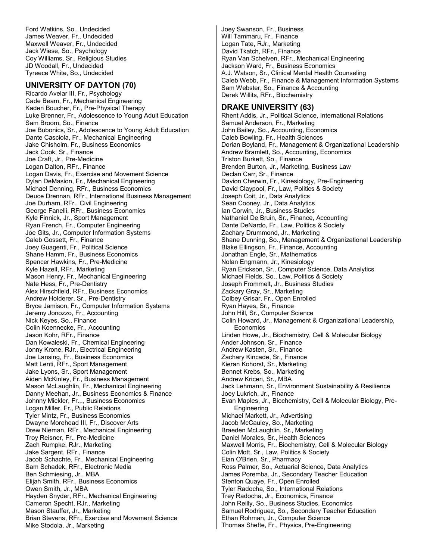Ford Watkins, So., Undecided James Weaver, Fr., Undecided Maxwell Weaver, Fr., Undecided Jack Wiese, So., Psychology Coy Williams, Sr., Religious Studies JD Woodall, Fr., Undecided Tyreece White, So., Undecided

# **UNIVERSITY OF DAYTON (70)**

Ricardo Avelar III, Fr., Psychology Cade Beam, Fr., Mechanical Engineering Kaden Boucher, Fr., Pre-Physical Therapy Luke Brenner, Fr., Adolescence to Young Adult Education Sam Broom, So., Finance Joe Bubonics, Sr., Adolescence to Young Adult Education Dante Casciola, Fr., Mechanical Engineering Jake Chisholm, Fr., Business Economics Jack Cook, Sr., Finance Joe Craft, Jr., Pre-Medicine Logan Dalton, RFr., Finance Logan Davis, Fr., Exercise and Movement Science Dylan DeMasion, Fr., Mechanical Engineering Michael Denning, RFr., Business Economics Deuce Drennan, RFr., International Business Management Joe Durham, RFr., Civil Engineering George Fanelli, RFr., Business Economics Kyle Finnick, Jr., Sport Management Ryan French, Fr., Computer Engineering Joe Gits, Jr., Computer Information Systems Caleb Gossett, Fr., Finance Joey Guagenti, Fr., Political Science Shane Hamm, Fr., Business Economics Spencer Hawkins, Fr., Pre-Medicine Kyle Hazell, RFr., Marketing Mason Henry, Fr., Mechanical Engineering Nate Hess, Fr., Pre-Dentistry Alex Hirschfield, RFr., Business Economics Andrew Holderer, Sr., Pre-Dentistry Bryce Jamison, Fr., Computer Information Systems Jeremy Jonozzo, Fr., Accounting Nick Keyes, So., Finance Colin Koennecke, Fr., Accounting Jason Kohr, RFr., Finance Dan Kowaleski, Fr., Chemical Engineering Jonny Krone, RJr., Electrical Engineering Joe Lansing, Fr., Business Economics Matt Lenti, RFr., Sport Management Jake Lyons, Sr., Sport Management Aiden McKinley, Fr., Business Management Mason McLaughlin, Fr., Mechanical Engineering Danny Meehan, Jr., Business Economics & Finance Johnny Mickler, Fr.,., Business Economics Logan Miller, Fr., Public Relations Tyler Mintz, Fr., Business Economics Dwayne Morehead III, Fr., Discover Arts Drew Nieman, RFr., Mechanical Engineering Troy Reisner, Fr., Pre-Medicine Zach Rumpke, RJr., Marketing Jake Sargent, RFr., Finance Jacob Schachte, Fr., Mechanical Engineering Sam Schadek, RFr., Electronic Media Ben Schmiesing, Jr., MBA Elijah Smith, RFr., Business Economics Owen Smith, Jr., MBA Hayden Snyder, RFr., Mechanical Engineering Cameron Specht, RJr., Marketing Mason Stauffer, Jr., Marketing Brian Stevens, RFr., Exercise and Movement Science Mike Stodola, Jr., Marketing

Joey Swanson, Fr., Business Will Tammaru, Fr., Finance Logan Tate, RJr., Marketing David Tkatch, RFr., Finance Ryan Van Schelven, RFr., Mechanical Engineering Jackson Ward, Fr., Business Economics A.J. Watson, Sr., Clinical Mental Health Counseling Caleb Webb, Fr., Finance & Management Information Systems Sam Webster, So., Finance & Accounting Derek Willits, RFr., Biochemistry

# **DRAKE UNIVERSITY (63)**

Rhent Addis, Jr., Political Science, International Relations Samuel Anderson, Fr., Marketing John Bailey, So., Accounting, Economics Caleb Bowling, Fr., Health Sciences Dorian Boyland, Fr., Management & Organizational Leadership Andrew Bramlett, So., Accounting, Economics Triston Burkett, So., Finance Brenden Burton, Jr., Marketing, Business Law Declan Carr, Sr., Finance Davion Cherwin, Fr., Kinesiology, Pre-Engineering David Claypool, Fr., Law, Politics & Society Joseph Coit, Jr., Data Analytics Sean Cooney, Jr., Data Analytics Ian Corwin, Jr., Business Studies Nathaniel De Bruin, Sr., Finance, Accounting Dante DeNardo, Fr., Law, Politics & Society Zachary Drummond, Jr., Marketing Shane Dunning, So., Management & Organizational Leadership Blake Ellingson, Fr., Finance, Accounting Jonathan Engle, Sr., Mathematics Nolan Engmann, Jr., Kinesiology Ryan Erickson, Sr., Computer Science, Data Analytics Michael Fields, So., Law, Politics & Society Joseph Frommelt, Jr., Business Studies Zackary Gray, Sr., Marketing Colbey Grisar, Fr., Open Enrolled Ryan Hayes, Sr., Finance John Hill, Sr., Computer Science Colin Howard, Jr., Management & Organizational Leadership, **Economics** Linden Howe, Jr., Biochemistry, Cell & Molecular Biology Ander Johnson, Sr., Finance Andrew Kasten, Sr., Finance Zachary Kincade, Sr., Finance Kieran Kohorst, Sr., Marketing Bennet Krebs, So., Marketing Andrew Kriceri, Sr., MBA Jack Lehmann, Sr., Environment Sustainability & Resilience Joey Lukrich, Jr., Finance Evan Maples, Jr., Biochemistry, Cell & Molecular Biology, Pre-**Engineering** Michael Markett, Jr., Advertising Jacob McCauley, So., Marketing Braeden McLaughlin, Sr., Marketing Daniel Morales, Sr., Health Sciences Maxwell Morris, Fr., Biochemistry, Cell & Molecular Biology Colin Mott, Sr., Law, Politics & Society Eian O'Brien, Sr., Pharmacy Ross Palmer, So., Actuarial Science, Data Analytics James Poremba, Jr., Secondary Teacher Education Stenton Quaye, Fr., Open Enrolled Tyler Radocha, So., International Relations Trey Radocha, Jr., Economics, Finance John Reilly, So., Business Studies, Economics Samuel Rodriguez, So., Secondary Teacher Education Ethan Rohman, Jr., Computer Science Thomas Shefte, Fr., Physics, Pre-Engineering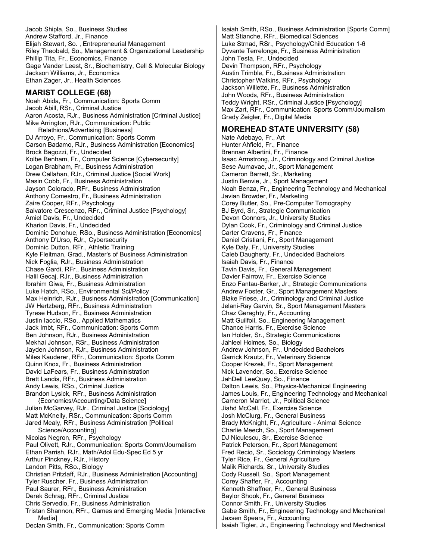Jacob Shipla, So., Business Studies Andrew Stafford, Jr., Finance Elijah Stewart, So. , Entrepreneurial Management Riley Theobald, So., Management & Organizational Leadership Phillip Tita, Fr., Economics, Finance Gage Vander Leest, Sr., Biochemistry, Cell & Molecular Biology Jackson Williams, Jr., Economics Ethan Zager, Jr., Health Sciences

#### **MARIST COLLEGE (68)**

Noah Abida, Fr., Communication: Sports Comm Jacob Abill, RSr., Criminal Justice Aaron Acosta, RJr., Business Administration [Criminal Justice] Mike Arrington, RJr., Communication: Public Relathions/Advertising [Business] DJ Arroyo, Fr., Communication: Sports Comm Carson Badamo, RJr., Business Administration [Economics] Brock Bagozzi, Fr., Undecided Kolbe Benham, Fr., Computer Science [Cybersecurity] Logan Brabham, Fr., Business Administration Drew Callahan, RJr., Criminal Justice [Social Work] Masin Cobb, Fr., Business Administration Jayson Colorado, RFr., Business Administration Anthony Comestro, Fr., Business Administration Zaire Cooper, RFr., Psychology Salvatore Crescenzo, RFr., Criminal Justice [Psychology] Amiel Davis, Fr., Undecided Kharion Davis, Fr., Undecided Dominic Donohue, RSo., Business Administration [Economics] Anthony D'Urso, RJr., Cybersecurity Dominic Dutton, RFr., Athletic Training Kyle Fleitman, Grad., Master's of Business Administration Nick Foglia, RJr., Business Administration Chase Gardi, RFr., Business Administration Halil Gecaj, RJr., Business Administration Ibrahim Giwa, Fr., Business Administration Luke Hatch, RSo., Environmental Sci/Policy Max Heinrich, RJr., Business Administration [Communication] JW Hertzberg, RFr., Business Administration Tyrese Hudson, Fr., Business Administration Justin Iaccio, RSo., Applied Mathematics Jack Imbt, RFr., Communication: Sports Comm Ben Johnson, RJr., Business Administration Mekhai Johnson, RSr., Business Administration Jayden Johnson, RJr., Business Administration Miles Kauderer, RFr., Communication: Sports Comm Quinn Knox, Fr., Business Administration David LaFears, Fr., Business Administration Brett Landis, RFr., Business Administration Andy Lewis, RSo., Criminal Justice Brandon Lysick, RFr., Business Administration {Economics/Accounting/Data Science] Julian McGarvey, RJr., Criminal Justice [Sociology] Matt McKnelly, RSr., Communication: Sports Comm Jared Mealy, RFr., Business Administration [Political Science/Accounting] Nicolas Negron, RFr., Psychology Paul Olivett, RJr., Communication: Sports Comm/Journalism Ethan Parrish, RJr., Math/Adol Edu-Spec Ed 5 yr Arthur Pinckney, RJr., History Landon Pitts, RSo., Biology Christian Pritzlaff, RJr., Business Administration [Accounting] Tyler Ruscher, Fr., Business Administration Paul Saurer, RFr., Business Administration Derek Schrag, RFr., Criminal Justice Chris Servedio, Fr., Business Administration Tristan Shannon, RFr., Games and Emerging Media [Interactive Media] Declan Smith, Fr., Communication: Sports Comm

Isaiah Smith, RSo., Business Administration [Sports Comm] Matt Stianche, RFr., Biomedical Sciences Luke Strnad, RSr., Psychology/Child Education 1-6 Dyvante Terrelonge, Fr., Business Administration John Testa, Fr., Undecided Devin Thompson, RFr., Psychology Austin Trimble, Fr., Business Administration Christopher Watkins, RFr., Psychology Jackson Willette, Fr., Business Administration John Woods, RFr., Business Administration Teddy Wright, RSr., Criminal Justice [Psychology] Max Zart, RFr., Communication: Sports Comm/Journalism Grady Zeigler, Fr., Digital Media

## **MOREHEAD STATE UNIVERSITY (58)**

Nate Adebayo, Fr., Art Hunter Ahfield, Fr., Finance Brennan Albertini, Fr., Finance Isaac Armstrong, Jr., Criminology and Criminal Justice Sese Aumavae, Jr., Sport Management Cameron Barrett, Sr., Marketing Justin Benvie, Jr., Sport Management Noah Benza, Fr., Engineering Technology and Mechanical Javian Browder, Fr., Marketing Corey Butler, So., Pre-Computer Tomography BJ Byrd, Sr., Strategic Communication Devon Connors, Jr., University Studies Dylan Cook, Fr., Criminology and Criminal Justice Carter Cravens, Fr., Finance Daniel Cristiani, Fr., Sport Management Kyle Daly, Fr., University Studies Caleb Daugherty, Fr., Undecided Bachelors Isaiah Davis, Fr., Finance Tavin Davis, Fr., General Management Davier Fairrow, Fr., Exercise Science Enzo Fantau-Barker, Jr., Strategic Communications Andrew Foster, Gr., Sport Management Masters Blake Friese, Jr., Criminology and Criminal Justice Jelani-Ray Garvin, Sr., Sport Management Masters Chaz Geraghty, Fr., Accounting Matt Guilfoil, So., Engineering Management Chance Harris, Fr., Exercise Science Ian Holder, Sr., Strategic Communications Jahleel Holmes, So., Biology Andrew Johnson, Fr., Undecided Bachelors Garrick Krautz, Fr., Veterinary Science Cooper Krezek, Fr., Sport Management Nick Lavender, So., Exercise Science JahDell LeeQuay, So., Finance Dalton Lewis, So., Physics-Mechanical Engineering James Louis, Fr., Engineering Technology and Mechanical Cameron Marriot, Jr., Political Science Jiahd McCall, Fr., Exercise Science Josh McClurg, Fr., General Business Brady McKnight, Fr., Agriculture - Animal Science Charlie Meech, So., Sport Management DJ Niculescu, Sr., Exercise Science Patrick Peterson, Fr., Sport Management Fred Recio, Sr., Sociology Criminology Masters Tyler Rice, Fr., General Agriculture Malik Richards, Sr., University Studies Cody Russell, So., Sport Management Corey Shaffer, Fr., Accounting Kenneth Shaffner, Fr., General Business Baylor Shook, Fr., General Business Connor Smith, Fr., University Studies Gabe Smith, Fr., Engineering Technology and Mechanical Jaxsen Spears, Fr., Accounting Isaiah Tigler, Jr., Engineering Technology and Mechanical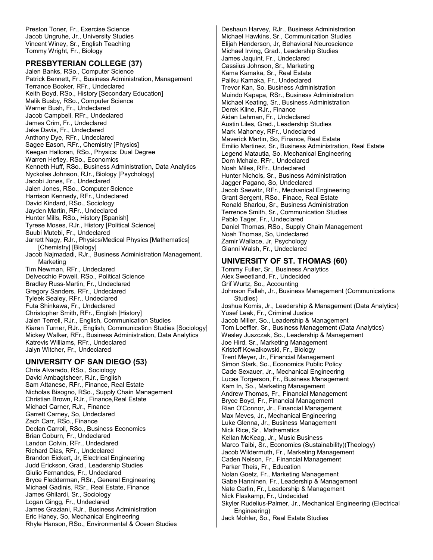Preston Toner, Fr., Exercise Science Jacob Ungruhe, Jr., University Studies Vincent Winey, Sr., English Teaching Tommy Wright, Fr., Biology

## **PRESBYTERIAN COLLEGE (37)**

Jalen Banks, RSo., Computer Science Patrick Bennett, Fr., Business Administration, Management Terrance Booker, RFr., Undeclared Keith Boyd, RSo., History [Secondary Education] Malik Busby, RSo., Computer Science Warner Bush, Fr., Undeclared Jacob Campbell, RFr., Undeclared James Crim, Fr., Undeclared Jake Davis, Fr., Undeclared Anthony Dye, RFr., Undeclared Sagee Eason, RFr., Chemistry [Physics] Keegan Halloran, RSo., Physics: Dual Degree Warren Hefley, RSo., Economics Kenneth Huff, RSo., Business Administration, Data Analytics Nyckolas Johnson, RJr., Biology [Psychology] Jacobi Jones, Fr., Undeclared Jalen Jones, RSo., Computer Science Harrison Kennedy, RFr., Undeclared David Kindard, RSo., Sociology Jayden Martin, RFr., Undeclared Hunter Mills, RSo., History [Spanish] Tyrese Moses, RJr., History [Political Science] Suubi Mutebi, Fr., Undeclared Jarrett Nagy, RJr., Physics/Medical Physics [Mathematics] [Chemistry] [Biology] Jacob Najmadadi, RJr., Business Administration Management, Marketing Tim Newman, RFr., Undeclared Delvecchio Powell, RSo., Political Science Bradley Russ-Martin, Fr., Undeclared Gregory Sanders, RFr., Undeclared Tyleek Sealey, RFr., Undeclared Futa Shinkawa, Fr., Undeclared Christopher Smith, RFr., English [History] Jalen Terrell, RJr., English, Communication Studies Kiaran Turner, RJr., English, Communication Studies [Sociology] Mickey Walker, RFr., Business Administration, Data Analytics Katrevis Williams, RFr., Undeclared Jalyn Witcher, Fr., Undeclared

## **UNIVERSITY OF SAN DIEGO (53)**

Chris Alvarado, RSo., Sociology David Ambagtsheer, RJr., English Sam Attanese, RFr., Finance, Real Estate Nicholas Bisogno, RSo., Supply Chain Management Christian Brown, RJr., Finance,Real Estate Michael Carner, RJr., Finance Garrett Carney, So, Undeclared Zach Carr, RSo., Finance Declan Carroll, RSo., Business Economics Brian Coburn, Fr., Undeclared Landon Colvin, RFr., Undeclared Richard Dias, RFr., Undeclared Brandon Eickert, Jr, Electrical Engineering Judd Erickson, Grad., Leadership Studies Giulio Fernandes, Fr., Undeclared Bryce Fledderman, RSr., General Engineering Michael Gadinis, RSr., Real Estate, Finance James Ghilardi, Sr., Sociology Logan Gingg, Fr., Undeclared James Graziani, RJr., Business Administration Eric Haney, So, Mechanical Engineering Rhyle Hanson, RSo., Environmental & Ocean Studies Deshaun Harvey, RJr., Business Administration Michael Hawkins, Sr., Communication Studies Elijah Henderson, Jr, Behavioral Neuroscience Michael Irving, Grad., Leadership Studies James Jaquint, Fr., Undeclared Cassiius Johnson, Sr., Marketing Kama Kamaka, Sr., Real Estate Paliku Kamaka, Fr., Undeclared Trevor Kan, So, Business Administration Muindo Kapapa, RSr., Business Administration Michael Keating, Sr., Business Administration Derek Kline, RJr., Finance Aidan Lehman, Fr., Undeclared Austin Liles, Grad., Leadership Studies Mark Mahoney, RFr., Undeclared Maverick Martin, So, Finance, Real Estate Emilio Martinez, Sr., Business Administration, Real Estate Legend Matautia, So, Mechanical Engineering Dom Mchale, RFr., Undeclared Noah Miles, RFr., Undeclared Hunter Nichols, Sr., Business Administration Jagger Pagano, So, Undeclared Jacob Saewitz, RFr., Mechanical Engineering Grant Sergent, RSo., Finace, Real Estate Ronald Sharlou, Sr., Business Administration Terrence Smith, Sr., Communication Studies Pablo Tager, Fr., Undeclared Daniel Thomas, RSo., Supply Chain Management Noah Thomas, So, Undeclared Zamir Wallace, Jr, Psychology Gianni Walsh, Fr., Undeclared

## **UNIVERSITY OF ST. THOMAS (60)**

Tommy Fuller, Sr., Business Analytics Alex Sweetland, Fr., Undecided Grif Wurtz, So., Accounting Johnson Fallah, Jr., Business Management (Communications Studies) Joshua Komis, Jr., Leadership & Management (Data Analytics) Yusef Leak, Fr., Criminal Justice Jacob Miller, So., Leadership & Management Tom Loeffler, Sr., Business Management (Data Analytics) Wesley Juszczak, So., Leadership & Management Joe Hird, Sr., Marketing Management Kristoff Kowalkowski, Fr., Biology Trent Meyer, Jr., Financial Management Simon Stark, So., Economics Public Policy Cade Sexauer, Jr., Mechanical Engineering Lucas Torgerson, Fr., Business Management Kam In, So., Marketing Management Andrew Thomas, Fr., Financial Management Bryce Boyd, Fr., Financial Management Rian O'Connor, Jr., Financial Management Max Meves, Jr., Mechanical Engineering Luke Glenna, Jr., Business Management Nick Rice, Sr., Mathematics Kellan McKeag, Jr., Music Business Marco Taibi, Sr., Economics (Sustainability)(Theology) Jacob Wildermuth, Fr., Marketing Management Caden Nelson, Fr., Financial Management Parker Theis, Fr., Education Nolan Goetz, Fr., Marketing Management Gabe Hanninen, Fr., Leadership & Management Nate Carlin, Fr., Leadership & Management Nick Flaskamp, Fr., Undecided Skyler Rudelius-Palmer, Jr., Mechanical Engineering (Electrical Engineering) Jack Mohler, So., Real Estate Studies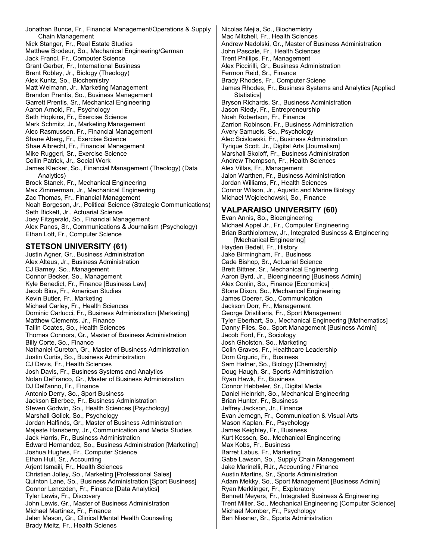Jonathan Bunce, Fr., Financial Management/Operations & Supply Chain Management Nick Stanger, Fr., Real Estate Studies Matthew Brodeur, So., Mechanical Engineering/German Jack Francl, Fr., Computer Science Grant Gerber, Fr., International Business Brent Robley, Jr., Biology (Theology) Alex Kuntz, So., Biochemistry Matt Weimann, Jr., Marketing Management Brandon Prentis, So., Business Management Garrett Prentis, Sr., Mechanical Engineering Aaron Arnold, Fr., Psychology Seth Hopkins, Fr., Exercise Science Mark Schmitz, Jr., Marketing Management Alec Rasmussen, Fr., Financial Management Shane Aberg, Fr., Exercise Science Shae Albrecht, Fr., Financial Management Mike Ruggeri, Sr., Exercise Science Collin Patrick, Jr., Social Work James Klecker, So., Financial Management (Theology) (Data Analytics) Brock Stanek, Fr., Mechanical Engineering Max Zimmerman, Jr., Mechanical Engineering Zac Thomas, Fr., Financial Management Noah Borgeson, Jr., Political Science (Strategic Communications) Seth Bickett, Jr., Actuarial Science Joey Fitzgerald, So., Financial Management Alex Panos, Sr., Communications & Journalism (Psychology) Ethan Lott, Fr., Computer Science

## **STETSON UNIVERSITY (61)**

Justin Agner, Gr., Business Administration Alex Alteus, Jr., Business Administration CJ Barney, So., Management Connor Becker, So., Management Kyle Benedict, Fr., Finance [Business Law] Jacob Bius, Fr., American Studies Kevin Butler, Fr., Marketing Michael Carley, Fr., Health Sciences Dominic Carlucci, Fr., Business Administration [Marketing] Matthew Clements, Jr., Finance Tallin Coates, So., Health Sciences Thomas Connors, Gr., Master of Business Administration Billy Corte, So., Finance Nathaniel Cureton, Gr., Master of Business Administration Justin Curtis, So., Business Administration CJ Davis, Fr., Health Sciences Josh Davis, Fr., Business Systems and Analytics Nolan DeFranco, Gr., Master of Business Administration DJ Dell'anno, Fr., Finance Antonio Derry, So., Sport Business Jackson Ellerbee, Fr., Business Administration Steven Godwin, So., Health Sciences [Psychology] Marshall Golick, So., Psychology Jordan Halfinds, Gr., Master of Business Administration Majeste Hansberry, Jr., Communication and Media Studies Jack Harris, Fr., Business Administration Edward Hernandez, So., Business Administration [Marketing] Joshua Hughes, Fr., Computer Science Ethan Hull, Sr., Accounting Arjent Ismaili, Fr., Health Sciences Christian Jolley, So., Marketing [Professional Sales] Quinton Lane, So., Business Administration [Sport Business] Connor Lenczden, Fr., Finance [Data Analytics] Tyler Lewis, Fr., Discovery John Lewis, Gr., Master of Business Administration Michael Martinez, Fr., Finance Jalen Mason, Gr., Clinical Mental Health Counseling Brady Meitz, Fr., Health Scienes

Nicolas Mejia, So., Biochemistry Mac Mitchell, Fr., Health Sciences Andrew Nadolski, Gr., Master of Business Administration John Pascale, Fr., Health Sciences Trent Phillips, Fr., Management Alex Piccirilli, Gr., Business Administration Fermon Reid, Sr., Finance Brady Rhodes, Fr., Computer Sciene James Rhodes, Fr., Business Systems and Analytics [Applied **Statistics1** Bryson Richards, Sr., Business Administration Jason Riedy, Fr., Entrepreneurship Noah Robertson, Fr., Finance Zarrion Robinson, Fr., Business Administration Avery Samuels, So., Psychology Alec Scislowski, Fr., Business Administration Tyrique Scott, Jr., Digital Arts [Journalism] Marshall Skoloff, Fr., Business Administration Andrew Thompson, Fr., Health Sciences Alex Villas, Fr., Management Jalon Warthen, Fr., Business Administration Jordan Williams, Fr., Health Sciences Connor Wilson, Jr., Aquatic and Marine Biology Michael Wojciechowski, So., Finance

# **VALPARAISO UNIVERSITY (60)**

Evan Annis, So., Bioengineering Michael Appel Jr., Fr., Computer Engineering Brian Barthlolomew, Jr., Integrated Business & Engineering [Mechanical Engineering] Hayden Bedell, Fr., History Jake Birmingham, Fr., Business Cade Bishop, Sr., Actuarial Science Brett Bittner, Sr., Mechanical Engineering Aaron Byrd, Jr., Bioengineering [Business Admin] Alex Conlin, So., Finance [Economics] Stone Dixon, So., Mechanical Engineering James Doerer, So., Communication Jackson Dorr, Fr., Management George Dristiliaris, Fr., Sport Management Tyler Eberhart, So., Mechanical Engineering [Mathematics] Danny Files, So., Sport Management [Business Admin] Jacob Ford, Fr., Sociology Josh Gholston, So., Marketing Colin Graves, Fr., Healthcare Leadership Dom Grguric, Fr., Business Sam Hafner, So., Biology [Chemistry] Doug Haugh, Sr., Sports Administration Ryan Hawk, Fr., Business Connor Hebbeler, Sr., Digital Media Daniel Heinrich, So., Mechanical Engineering Brian Hunter, Fr., Business Jeffrey Jackson, Jr., Finance Evan Jernegn, Fr., Communication & Visual Arts Mason Kaplan, Fr., Psychology James Keighley, Fr., Business Kurt Kessen, So., Mechanical Engineering Max Kobs, Fr., Business Barret Labus, Fr., Marketing Gabe Lawson, So., Supply Chain Management Jake Marinelli, RJr., Accounting / Finance Austin Martins, Sr., Sports Administration Adam Mekky, So., Sport Management [Business Admin] Ryan Merklinger, Fr., Exploratory Bennett Meyers, Fr., Integrated Business & Engineering Trent Miller, So., Mechanical Engineering [Computer Science] Michael Momber, Fr., Psychology Ben Niesner, Sr., Sports Administration